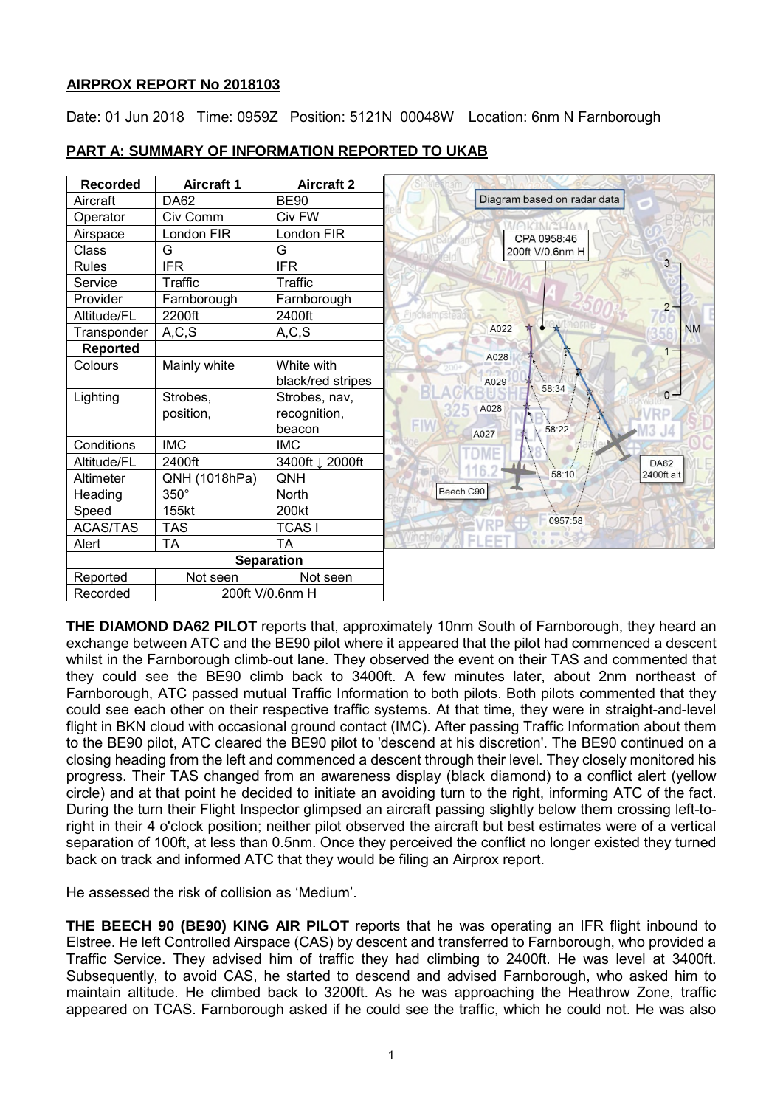# **AIRPROX REPORT No 2018103**

Date: 01 Jun 2018 Time: 0959Z Position: 5121N 00048W Location: 6nm N Farnborough

| <b>Recorded</b>   | <b>Aircraft 1</b> | <b>Aircraft 2</b> |                             |
|-------------------|-------------------|-------------------|-----------------------------|
| Aircraft          | <b>DA62</b>       | <b>BE90</b>       | Diagram based on radar data |
| Operator          | Civ Comm          | Civ FW            | <b>NAKINGUAN</b>            |
| Airspace          | London FIR        | ondon FIR         | CPA 0958:46                 |
| Class             | G                 | G                 | 200ft V/0.6nm H             |
| <b>Rules</b>      | <b>IFR</b>        | <b>IFR</b>        | $3 -$                       |
| Service           | Traffic           | Traffic           |                             |
| Provider          | Farnborough       | Farnborough       |                             |
| Altitude/FL       | 2200ft            | 2400ft            | FIACRAMDSI                  |
| Transponder       | A, C, S           | A, C, S           | A022<br><b>NM</b>           |
| <b>Reported</b>   |                   |                   | A028                        |
| Colours           | Mainly white      | White with        |                             |
|                   |                   | black/red stripes | A029<br>58:34               |
| Lighting          | Strobes,          | Strobes, nav,     | $0 -$                       |
|                   | position,         | recognition,      | A028                        |
|                   |                   | beacon            | 58:22<br>A027               |
| Conditions        | <b>IMC</b>        | <b>IMC</b>        |                             |
| Altitude/FL       | 2400ft            | 3400ft J 2000ft   | <b>DA62</b><br>116.         |
| Altimeter         | QNH (1018hPa)     | QNH               | 58:10<br>2400ft alt         |
| Heading           | $350^\circ$       | <b>North</b>      | Beech C90                   |
| Speed             | 155kt             | 200kt             | 0957:58                     |
| <b>ACAS/TAS</b>   | <b>TAS</b>        | <b>TCAS1</b>      |                             |
| Alert             | <b>TA</b>         | <b>TA</b>         | EL EE                       |
| <b>Separation</b> |                   |                   |                             |
| Reported          | Not seen          | Not seen          |                             |
| Recorded          | 200ft V/0.6nm H   |                   |                             |

# **PART A: SUMMARY OF INFORMATION REPORTED TO UKAB**

**THE DIAMOND DA62 PILOT** reports that, approximately 10nm South of Farnborough, they heard an exchange between ATC and the BE90 pilot where it appeared that the pilot had commenced a descent whilst in the Farnborough climb-out lane. They observed the event on their TAS and commented that they could see the BE90 climb back to 3400ft. A few minutes later, about 2nm northeast of Farnborough, ATC passed mutual Traffic Information to both pilots. Both pilots commented that they could see each other on their respective traffic systems. At that time, they were in straight-and-level flight in BKN cloud with occasional ground contact (IMC). After passing Traffic Information about them to the BE90 pilot, ATC cleared the BE90 pilot to 'descend at his discretion'. The BE90 continued on a closing heading from the left and commenced a descent through their level. They closely monitored his progress. Their TAS changed from an awareness display (black diamond) to a conflict alert (yellow circle) and at that point he decided to initiate an avoiding turn to the right, informing ATC of the fact. During the turn their Flight Inspector glimpsed an aircraft passing slightly below them crossing left-toright in their 4 o'clock position; neither pilot observed the aircraft but best estimates were of a vertical separation of 100ft, at less than 0.5nm. Once they perceived the conflict no longer existed they turned back on track and informed ATC that they would be filing an Airprox report.

He assessed the risk of collision as 'Medium'.

**THE BEECH 90 (BE90) KING AIR PILOT** reports that he was operating an IFR flight inbound to Elstree. He left Controlled Airspace (CAS) by descent and transferred to Farnborough, who provided a Traffic Service. They advised him of traffic they had climbing to 2400ft. He was level at 3400ft. Subsequently, to avoid CAS, he started to descend and advised Farnborough, who asked him to maintain altitude. He climbed back to 3200ft. As he was approaching the Heathrow Zone, traffic appeared on TCAS. Farnborough asked if he could see the traffic, which he could not. He was also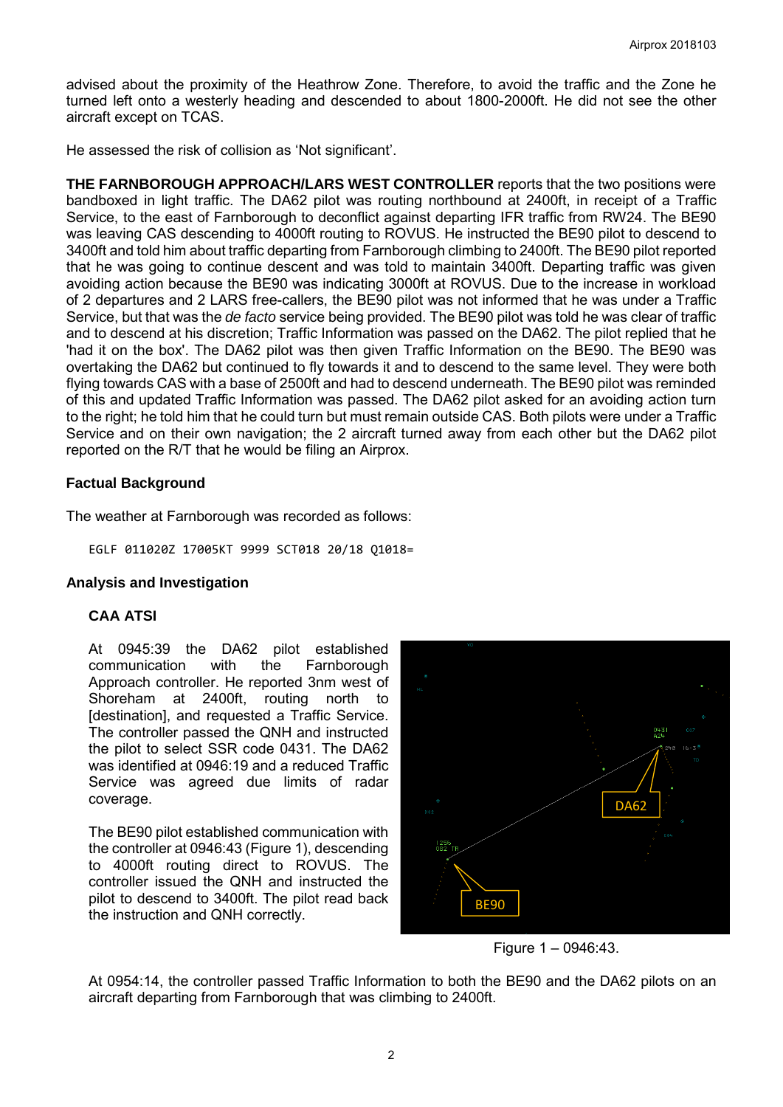advised about the proximity of the Heathrow Zone. Therefore, to avoid the traffic and the Zone he turned left onto a westerly heading and descended to about 1800-2000ft. He did not see the other aircraft except on TCAS.

He assessed the risk of collision as 'Not significant'.

**THE FARNBOROUGH APPROACH/LARS WEST CONTROLLER** reports that the two positions were bandboxed in light traffic. The DA62 pilot was routing northbound at 2400ft, in receipt of a Traffic Service, to the east of Farnborough to deconflict against departing IFR traffic from RW24. The BE90 was leaving CAS descending to 4000ft routing to ROVUS. He instructed the BE90 pilot to descend to 3400ft and told him about traffic departing from Farnborough climbing to 2400ft. The BE90 pilot reported that he was going to continue descent and was told to maintain 3400ft. Departing traffic was given avoiding action because the BE90 was indicating 3000ft at ROVUS. Due to the increase in workload of 2 departures and 2 LARS free-callers, the BE90 pilot was not informed that he was under a Traffic Service, but that was the *de facto* service being provided. The BE90 pilot was told he was clear of traffic and to descend at his discretion; Traffic Information was passed on the DA62. The pilot replied that he 'had it on the box'. The DA62 pilot was then given Traffic Information on the BE90. The BE90 was overtaking the DA62 but continued to fly towards it and to descend to the same level. They were both flying towards CAS with a base of 2500ft and had to descend underneath. The BE90 pilot was reminded of this and updated Traffic Information was passed. The DA62 pilot asked for an avoiding action turn to the right; he told him that he could turn but must remain outside CAS. Both pilots were under a Traffic Service and on their own navigation; the 2 aircraft turned away from each other but the DA62 pilot reported on the R/T that he would be filing an Airprox.

## **Factual Background**

The weather at Farnborough was recorded as follows:

EGLF 011020Z 17005KT 9999 SCT018 20/18 Q1018=

#### **Analysis and Investigation**

#### **CAA ATSI**

At 0945:39 the DA62 pilot established<br>communication with the Farnborough communication with the Farnborough Approach controller. He reported 3nm west of<br>Shoreham at 2400ft. routing north to 2400ft, routing north to [destination], and requested a Traffic Service. The controller passed the QNH and instructed the pilot to select SSR code 0431. The DA62 was identified at 0946:19 and a reduced Traffic Service was agreed due limits of radar coverage.

The BE90 pilot established communication with the controller at 0946:43 (Figure 1), descending to 4000ft routing direct to ROVUS. The controller issued the QNH and instructed the pilot to descend to 3400ft. The pilot read back the instruction and QNH correctly.



Figure 1 – 0946:43.

At 0954:14, the controller passed Traffic Information to both the BE90 and the DA62 pilots on an aircraft departing from Farnborough that was climbing to 2400ft.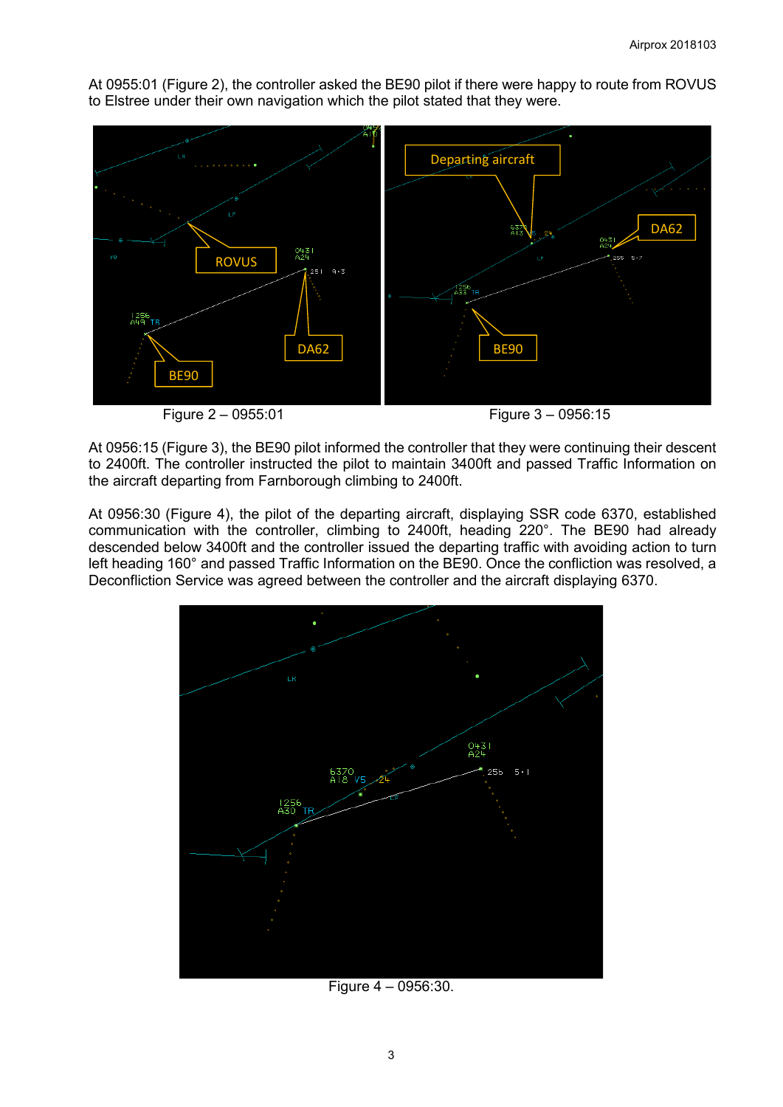At 0955:01 (Figure 2), the controller asked the BE90 pilot if there were happy to route from ROVUS to Elstree under their own navigation which the pilot stated that they were.



Figure 2 – 0955:01 Figure 3 – 0956:15

At 0956:15 (Figure 3), the BE90 pilot informed the controller that they were continuing their descent to 2400ft. The controller instructed the pilot to maintain 3400ft and passed Traffic Information on the aircraft departing from Farnborough climbing to 2400ft.

At 0956:30 (Figure 4), the pilot of the departing aircraft, displaying SSR code 6370, established communication with the controller, climbing to 2400ft, heading 220°. The BE90 had already descended below 3400ft and the controller issued the departing traffic with avoiding action to turn left heading 160° and passed Traffic Information on the BE90. Once the confliction was resolved, a Deconfliction Service was agreed between the controller and the aircraft displaying 6370.



Figure 4 – 0956:30.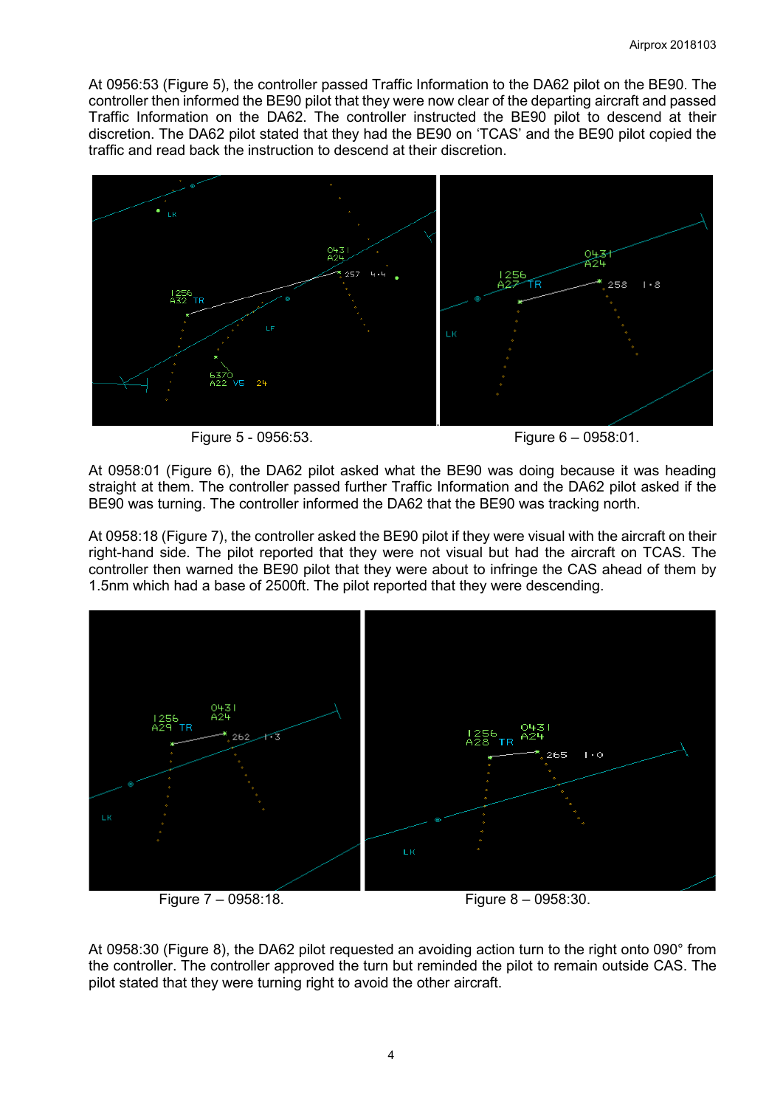At 0956:53 (Figure 5), the controller passed Traffic Information to the DA62 pilot on the BE90. The controller then informed the BE90 pilot that they were now clear of the departing aircraft and passed Traffic Information on the DA62. The controller instructed the BE90 pilot to descend at their discretion. The DA62 pilot stated that they had the BE90 on 'TCAS' and the BE90 pilot copied the traffic and read back the instruction to descend at their discretion.



Figure 5 - 0956:53. Figure 6 – 0958:01.

At 0958:01 (Figure 6), the DA62 pilot asked what the BE90 was doing because it was heading straight at them. The controller passed further Traffic Information and the DA62 pilot asked if the BE90 was turning. The controller informed the DA62 that the BE90 was tracking north.

At 0958:18 (Figure 7), the controller asked the BE90 pilot if they were visual with the aircraft on their right-hand side. The pilot reported that they were not visual but had the aircraft on TCAS. The controller then warned the BE90 pilot that they were about to infringe the CAS ahead of them by 1.5nm which had a base of 2500ft. The pilot reported that they were descending.



Figure 7 – 0958:18. Figure 8 – 0958:30.

At 0958:30 (Figure 8), the DA62 pilot requested an avoiding action turn to the right onto 090° from the controller. The controller approved the turn but reminded the pilot to remain outside CAS. The pilot stated that they were turning right to avoid the other aircraft.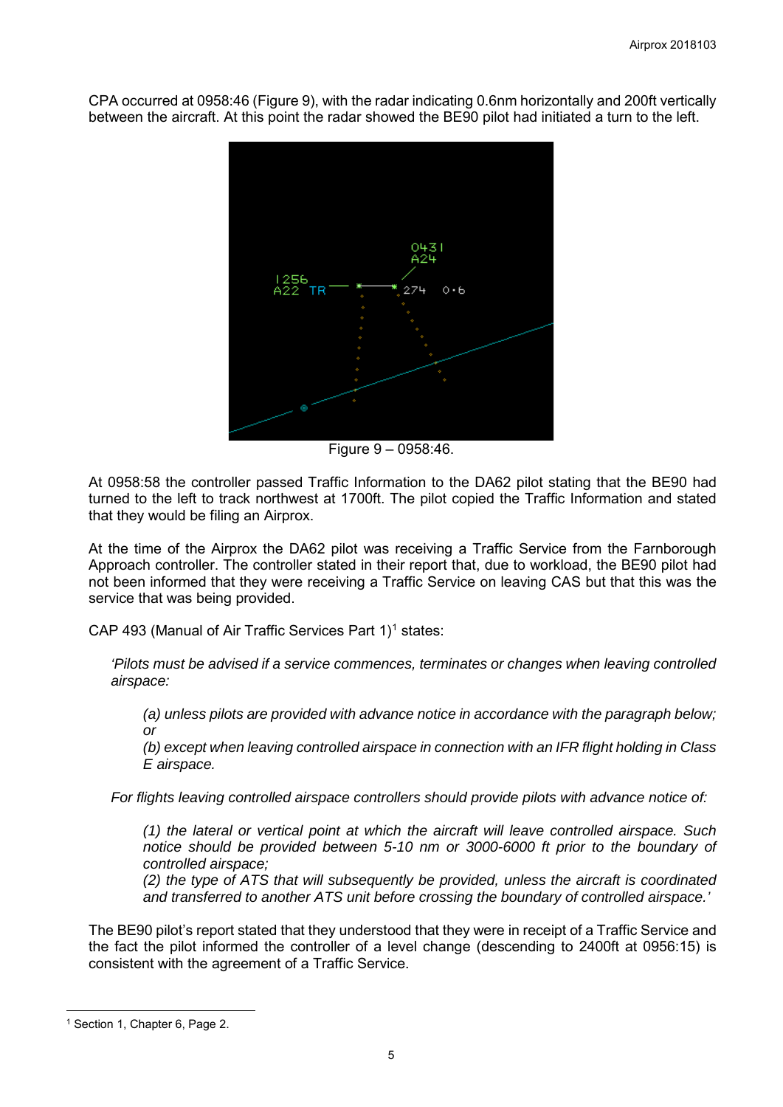CPA occurred at 0958:46 (Figure 9), with the radar indicating 0.6nm horizontally and 200ft vertically between the aircraft. At this point the radar showed the BE90 pilot had initiated a turn to the left.



Figure 9 – 0958:46.

At 0958:58 the controller passed Traffic Information to the DA62 pilot stating that the BE90 had turned to the left to track northwest at 1700ft. The pilot copied the Traffic Information and stated that they would be filing an Airprox.

At the time of the Airprox the DA62 pilot was receiving a Traffic Service from the Farnborough Approach controller. The controller stated in their report that, due to workload, the BE90 pilot had not been informed that they were receiving a Traffic Service on leaving CAS but that this was the service that was being provided.

CAP 493 (Manual of Air Traffic Services Part  $1$ <sup>1</sup> states:

*'Pilots must be advised if a service commences, terminates or changes when leaving controlled airspace:* 

*(a) unless pilots are provided with advance notice in accordance with the paragraph below; or* 

*(b) except when leaving controlled airspace in connection with an IFR flight holding in Class E airspace.*

*For flights leaving controlled airspace controllers should provide pilots with advance notice of:* 

*(1) the lateral or vertical point at which the aircraft will leave controlled airspace. Such notice should be provided between 5-10 nm or 3000-6000 ft prior to the boundary of controlled airspace;* 

*(2) the type of ATS that will subsequently be provided, unless the aircraft is coordinated and transferred to another ATS unit before crossing the boundary of controlled airspace.'* 

The BE90 pilot's report stated that they understood that they were in receipt of a Traffic Service and the fact the pilot informed the controller of a level change (descending to 2400ft at 0956:15) is consistent with the agreement of a Traffic Service.

 $\overline{\phantom{a}}$ 

<span id="page-4-0"></span><sup>&</sup>lt;sup>1</sup> Section 1, Chapter 6, Page 2.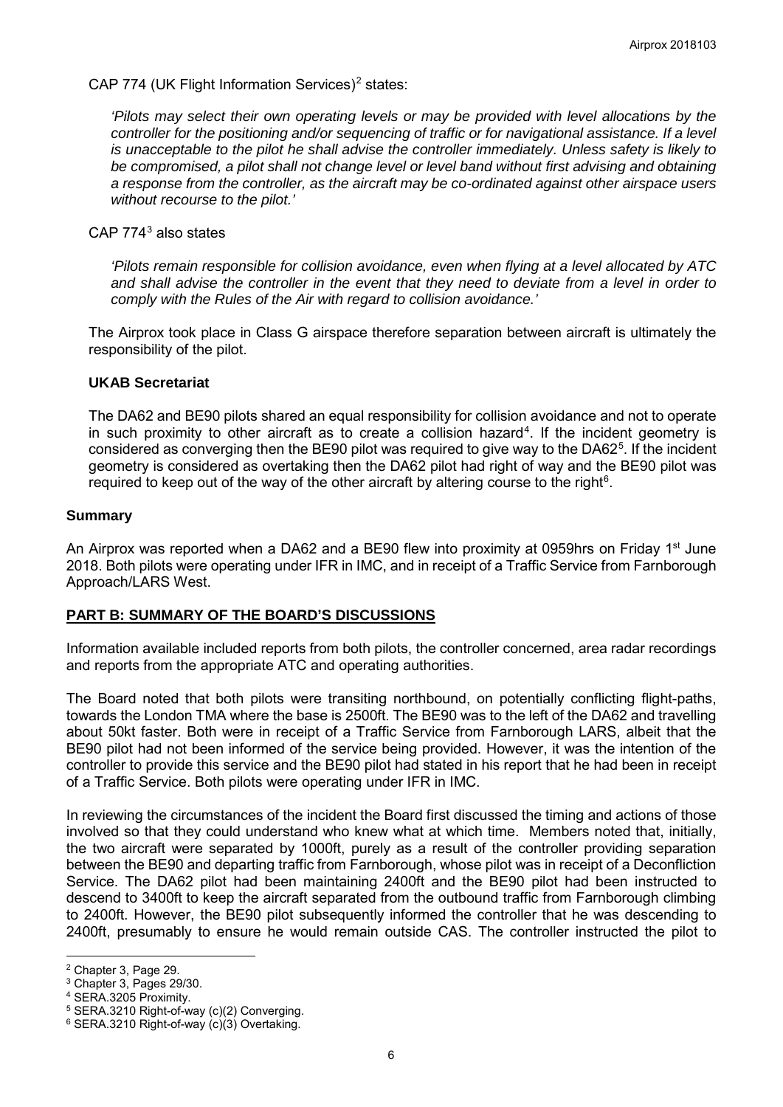CAP 774 (UK Flight Information Services)<sup>[2](#page-5-0)</sup> states:

*'Pilots may select their own operating levels or may be provided with level allocations by the controller for the positioning and/or sequencing of traffic or for navigational assistance. If a level is unacceptable to the pilot he shall advise the controller immediately. Unless safety is likely to be compromised, a pilot shall not change level or level band without first advising and obtaining a response from the controller, as the aircraft may be co-ordinated against other airspace users without recourse to the pilot.'*

CAP 774[3](#page-5-1) also states

*'Pilots remain responsible for collision avoidance, even when flying at a level allocated by ATC and shall advise the controller in the event that they need to deviate from a level in order to comply with the Rules of the Air with regard to collision avoidance.'*

The Airprox took place in Class G airspace therefore separation between aircraft is ultimately the responsibility of the pilot.

#### **UKAB Secretariat**

The DA62 and BE90 pilots shared an equal responsibility for collision avoidance and not to operate in such proximity to other aircraft as to create a collision hazard<sup>[4](#page-5-2)</sup>. If the incident geometry is considered as converging then the BE90 pilot was required to give way to the DA62 $5$ . If the incident geometry is considered as overtaking then the DA62 pilot had right of way and the BE90 pilot was required to keep out of the way of the other aircraft by altering course to the right $6$ .

#### **Summary**

An Airprox was reported when a DA62 and a BE90 flew into proximity at 0959hrs on Friday 1<sup>st</sup> June 2018. Both pilots were operating under IFR in IMC, and in receipt of a Traffic Service from Farnborough Approach/LARS West.

# **PART B: SUMMARY OF THE BOARD'S DISCUSSIONS**

Information available included reports from both pilots, the controller concerned, area radar recordings and reports from the appropriate ATC and operating authorities.

The Board noted that both pilots were transiting northbound, on potentially conflicting flight-paths, towards the London TMA where the base is 2500ft. The BE90 was to the left of the DA62 and travelling about 50kt faster. Both were in receipt of a Traffic Service from Farnborough LARS, albeit that the BE90 pilot had not been informed of the service being provided. However, it was the intention of the controller to provide this service and the BE90 pilot had stated in his report that he had been in receipt of a Traffic Service. Both pilots were operating under IFR in IMC.

In reviewing the circumstances of the incident the Board first discussed the timing and actions of those involved so that they could understand who knew what at which time. Members noted that, initially, the two aircraft were separated by 1000ft, purely as a result of the controller providing separation between the BE90 and departing traffic from Farnborough, whose pilot was in receipt of a Deconfliction Service. The DA62 pilot had been maintaining 2400ft and the BE90 pilot had been instructed to descend to 3400ft to keep the aircraft separated from the outbound traffic from Farnborough climbing to 2400ft. However, the BE90 pilot subsequently informed the controller that he was descending to 2400ft, presumably to ensure he would remain outside CAS. The controller instructed the pilot to

 $\overline{\phantom{a}}$ <sup>2</sup> Chapter 3, Page 29.

<span id="page-5-1"></span><span id="page-5-0"></span><sup>3</sup> Chapter 3, Pages 29/30.

<span id="page-5-2"></span><sup>4</sup> SERA.3205 Proximity.

<span id="page-5-3"></span><sup>5</sup> SERA.3210 Right-of-way (c)(2) Converging.

<span id="page-5-4"></span><sup>6</sup> SERA.3210 Right-of-way (c)(3) Overtaking.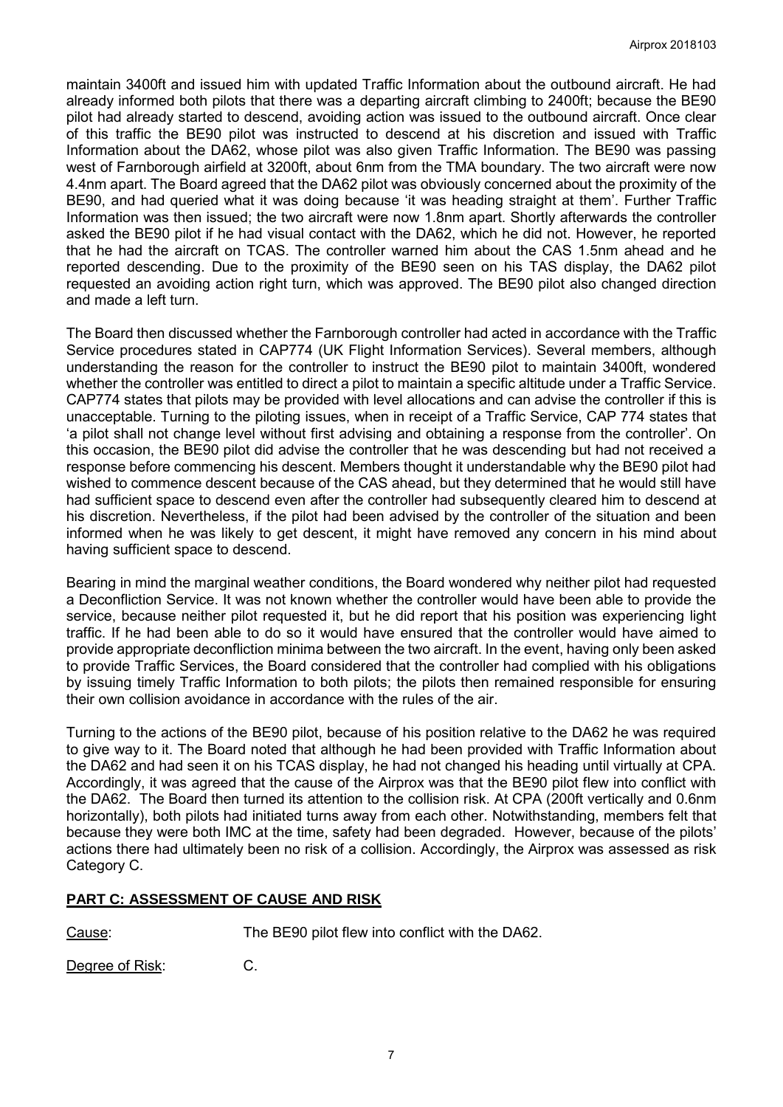maintain 3400ft and issued him with updated Traffic Information about the outbound aircraft. He had already informed both pilots that there was a departing aircraft climbing to 2400ft; because the BE90 pilot had already started to descend, avoiding action was issued to the outbound aircraft. Once clear of this traffic the BE90 pilot was instructed to descend at his discretion and issued with Traffic Information about the DA62, whose pilot was also given Traffic Information. The BE90 was passing west of Farnborough airfield at 3200ft, about 6nm from the TMA boundary. The two aircraft were now 4.4nm apart. The Board agreed that the DA62 pilot was obviously concerned about the proximity of the BE90, and had queried what it was doing because 'it was heading straight at them'. Further Traffic Information was then issued; the two aircraft were now 1.8nm apart. Shortly afterwards the controller asked the BE90 pilot if he had visual contact with the DA62, which he did not. However, he reported that he had the aircraft on TCAS. The controller warned him about the CAS 1.5nm ahead and he reported descending. Due to the proximity of the BE90 seen on his TAS display, the DA62 pilot requested an avoiding action right turn, which was approved. The BE90 pilot also changed direction and made a left turn.

The Board then discussed whether the Farnborough controller had acted in accordance with the Traffic Service procedures stated in CAP774 (UK Flight Information Services). Several members, although understanding the reason for the controller to instruct the BE90 pilot to maintain 3400ft, wondered whether the controller was entitled to direct a pilot to maintain a specific altitude under a Traffic Service. CAP774 states that pilots may be provided with level allocations and can advise the controller if this is unacceptable. Turning to the piloting issues, when in receipt of a Traffic Service, CAP 774 states that 'a pilot shall not change level without first advising and obtaining a response from the controller'. On this occasion, the BE90 pilot did advise the controller that he was descending but had not received a response before commencing his descent. Members thought it understandable why the BE90 pilot had wished to commence descent because of the CAS ahead, but they determined that he would still have had sufficient space to descend even after the controller had subsequently cleared him to descend at his discretion. Nevertheless, if the pilot had been advised by the controller of the situation and been informed when he was likely to get descent, it might have removed any concern in his mind about having sufficient space to descend.

Bearing in mind the marginal weather conditions, the Board wondered why neither pilot had requested a Deconfliction Service. It was not known whether the controller would have been able to provide the service, because neither pilot requested it, but he did report that his position was experiencing light traffic. If he had been able to do so it would have ensured that the controller would have aimed to provide appropriate deconfliction minima between the two aircraft. In the event, having only been asked to provide Traffic Services, the Board considered that the controller had complied with his obligations by issuing timely Traffic Information to both pilots; the pilots then remained responsible for ensuring their own collision avoidance in accordance with the rules of the air.

Turning to the actions of the BE90 pilot, because of his position relative to the DA62 he was required to give way to it. The Board noted that although he had been provided with Traffic Information about the DA62 and had seen it on his TCAS display, he had not changed his heading until virtually at CPA. Accordingly, it was agreed that the cause of the Airprox was that the BE90 pilot flew into conflict with the DA62. The Board then turned its attention to the collision risk. At CPA (200ft vertically and 0.6nm horizontally), both pilots had initiated turns away from each other. Notwithstanding, members felt that because they were both IMC at the time, safety had been degraded. However, because of the pilots' actions there had ultimately been no risk of a collision. Accordingly, the Airprox was assessed as risk Category C.

# **PART C: ASSESSMENT OF CAUSE AND RISK**

Cause: The BE90 pilot flew into conflict with the DA62.

Degree of Risk: C.